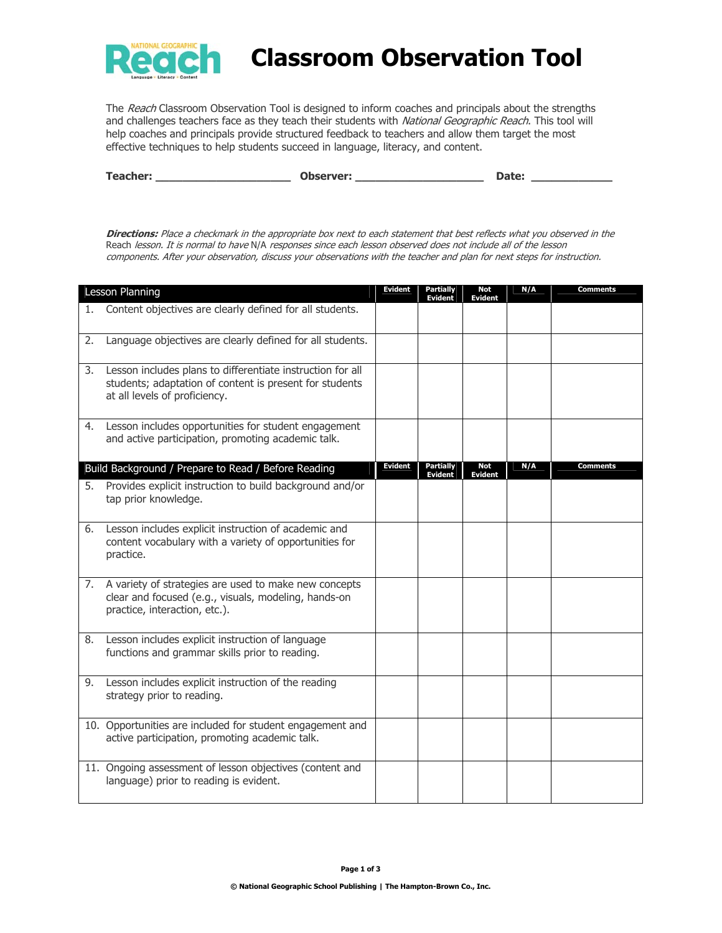

## **Classroom Observation Tool**

The Reach Classroom Observation Tool is designed to inform coaches and principals about the strengths and challenges teachers face as they teach their students with National Geographic Reach. This tool will help coaches and principals provide structured feedback to teachers and allow them target the most effective techniques to help students succeed in language, literacy, and content.

| <b>Teacher:</b> | Observer: | nato. |
|-----------------|-----------|-------|
|                 |           |       |

**Directions:** Place a checkmark in the appropriate box next to each statement that best reflects what you observed in the Reach lesson. It is normal to have N/A responses since each lesson observed does not include all of the lesson components. After your observation, discuss your observations with the teacher and plan for next steps for instruction.

|    | Lesson Planning                                                                                                                                        | Evident        | <b>Partially</b><br><b>Evident</b> | <b>Not</b><br><b>Evident</b> | N/A | Comments |
|----|--------------------------------------------------------------------------------------------------------------------------------------------------------|----------------|------------------------------------|------------------------------|-----|----------|
| 1. | Content objectives are clearly defined for all students.                                                                                               |                |                                    |                              |     |          |
| 2. | Language objectives are clearly defined for all students.                                                                                              |                |                                    |                              |     |          |
| 3. | Lesson includes plans to differentiate instruction for all<br>students; adaptation of content is present for students<br>at all levels of proficiency. |                |                                    |                              |     |          |
|    | 4. Lesson includes opportunities for student engagement<br>and active participation, promoting academic talk.                                          |                |                                    |                              |     |          |
|    | Build Background / Prepare to Read / Before Reading                                                                                                    | <b>Evident</b> | <b>Partially</b><br><b>Evident</b> | Not<br><b>Evident</b>        | N/A | Comments |
| 5. | Provides explicit instruction to build background and/or<br>tap prior knowledge.                                                                       |                |                                    |                              |     |          |
| 6. | Lesson includes explicit instruction of academic and<br>content vocabulary with a variety of opportunities for<br>practice.                            |                |                                    |                              |     |          |
| 7. | A variety of strategies are used to make new concepts<br>clear and focused (e.g., visuals, modeling, hands-on<br>practice, interaction, etc.).         |                |                                    |                              |     |          |
| 8. | Lesson includes explicit instruction of language<br>functions and grammar skills prior to reading.                                                     |                |                                    |                              |     |          |
| 9. | Lesson includes explicit instruction of the reading<br>strategy prior to reading.                                                                      |                |                                    |                              |     |          |
|    | 10. Opportunities are included for student engagement and<br>active participation, promoting academic talk.                                            |                |                                    |                              |     |          |
|    | 11. Ongoing assessment of lesson objectives (content and<br>language) prior to reading is evident.                                                     |                |                                    |                              |     |          |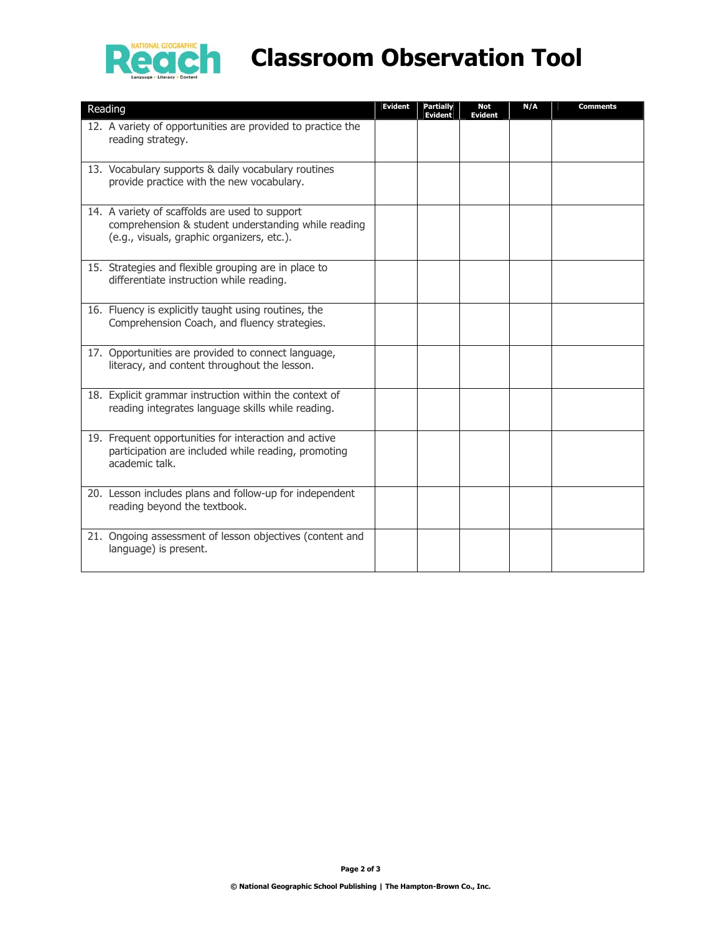

## **Reach** Classroom Observation Tool

| Reading                                                                                                                                             | <b>Evident</b> | Partially<br><b>Evident</b> | Not<br>Evident | N/A | Comments |
|-----------------------------------------------------------------------------------------------------------------------------------------------------|----------------|-----------------------------|----------------|-----|----------|
| 12. A variety of opportunities are provided to practice the<br>reading strategy.                                                                    |                |                             |                |     |          |
| 13. Vocabulary supports & daily vocabulary routines<br>provide practice with the new vocabulary.                                                    |                |                             |                |     |          |
| 14. A variety of scaffolds are used to support<br>comprehension & student understanding while reading<br>(e.g., visuals, graphic organizers, etc.). |                |                             |                |     |          |
| 15. Strategies and flexible grouping are in place to<br>differentiate instruction while reading.                                                    |                |                             |                |     |          |
| 16. Fluency is explicitly taught using routines, the<br>Comprehension Coach, and fluency strategies.                                                |                |                             |                |     |          |
| 17. Opportunities are provided to connect language,<br>literacy, and content throughout the lesson.                                                 |                |                             |                |     |          |
| 18. Explicit grammar instruction within the context of<br>reading integrates language skills while reading.                                         |                |                             |                |     |          |
| 19. Frequent opportunities for interaction and active<br>participation are included while reading, promoting<br>academic talk.                      |                |                             |                |     |          |
| 20. Lesson includes plans and follow-up for independent<br>reading beyond the textbook.                                                             |                |                             |                |     |          |
| 21. Ongoing assessment of lesson objectives (content and<br>language) is present.                                                                   |                |                             |                |     |          |